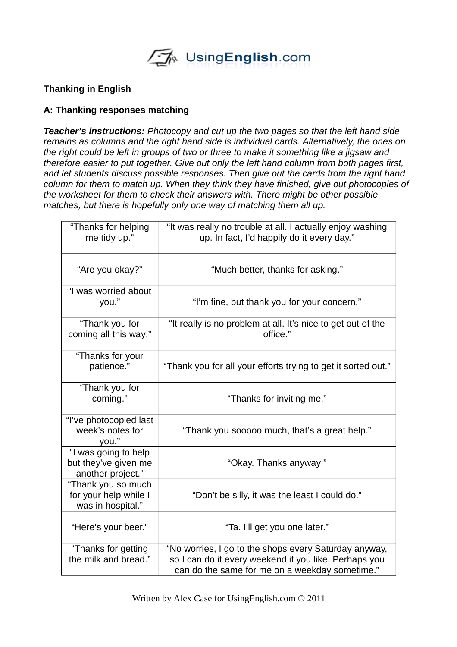UsingEnglish.com

#### **Thanking in English**

#### **A: Thanking responses matching**

*Teacher's instructions: Photocopy and cut up the two pages so that the left hand side remains as columns and the right hand side is individual cards. Alternatively, the ones on the right could be left in groups of two or three to make it something like a jigsaw and therefore easier to put together. Give out only the left hand column from both pages first, and let students discuss possible responses. Then give out the cards from the right hand column for them to match up. When they think they have finished, give out photocopies of the worksheet for them to check their answers with. There might be other possible matches, but there is hopefully only one way of matching them all up.*

| "Thanks for helping<br>me tidy up."                               | "It was really no trouble at all. I actually enjoy washing<br>up. In fact, I'd happily do it every day."                                                         |
|-------------------------------------------------------------------|------------------------------------------------------------------------------------------------------------------------------------------------------------------|
| "Are you okay?"                                                   | "Much better, thanks for asking."                                                                                                                                |
| "I was worried about<br>you."                                     | "I'm fine, but thank you for your concern."                                                                                                                      |
| "Thank you for<br>coming all this way."                           | "It really is no problem at all. It's nice to get out of the<br>office."                                                                                         |
| "Thanks for your<br>patience."                                    | "Thank you for all your efforts trying to get it sorted out."                                                                                                    |
| "Thank you for<br>coming."                                        | "Thanks for inviting me."                                                                                                                                        |
| "I've photocopied last<br>week's notes for<br>you."               | "Thank you sooooo much, that's a great help."                                                                                                                    |
| "I was going to help<br>but they've given me<br>another project." | "Okay. Thanks anyway."                                                                                                                                           |
| "Thank you so much<br>for your help while I<br>was in hospital."  | "Don't be silly, it was the least I could do."                                                                                                                   |
| "Here's your beer."                                               | "Ta. I'll get you one later."                                                                                                                                    |
| "Thanks for getting<br>the milk and bread."                       | "No worries, I go to the shops every Saturday anyway,<br>so I can do it every weekend if you like. Perhaps you<br>can do the same for me on a weekday sometime." |

Written by Alex Case for UsingEnglish.com © 2011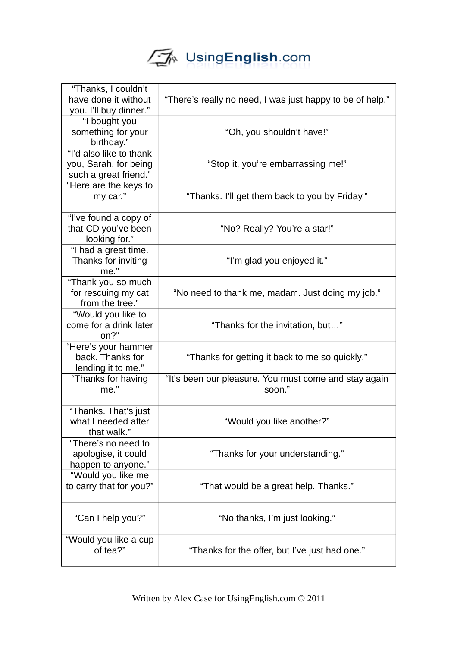# UsingEnglish.com

| "Thanks, I couldn't<br>have done it without<br>you. I'll buy dinner."     | "There's really no need, I was just happy to be of help."       |
|---------------------------------------------------------------------------|-----------------------------------------------------------------|
| "I bought you<br>something for your<br>birthday."                         | "Oh, you shouldn't have!"                                       |
| "I'd also like to thank<br>you, Sarah, for being<br>such a great friend." | "Stop it, you're embarrassing me!"                              |
| "Here are the keys to<br>my car."                                         | "Thanks. I'll get them back to you by Friday."                  |
| "I've found a copy of<br>that CD you've been<br>looking for."             | "No? Really? You're a star!"                                    |
| "I had a great time.<br>Thanks for inviting<br>me."                       | "I'm glad you enjoyed it."                                      |
| "Thank you so much<br>for rescuing my cat<br>from the tree."              | "No need to thank me, madam. Just doing my job."                |
| "Would you like to<br>come for a drink later<br>on?"                      | "Thanks for the invitation, but"                                |
| "Here's your hammer<br>back. Thanks for<br>lending it to me."             | "Thanks for getting it back to me so quickly."                  |
| "Thanks for having<br>me."                                                | "It's been our pleasure. You must come and stay again<br>soon." |
| "Thanks. That's just<br>what I needed after<br>that walk.'                | "Would you like another?"                                       |
| "There's no need to<br>apologise, it could<br>happen to anyone."          | "Thanks for your understanding."                                |
| "Would you like me<br>to carry that for you?"                             | "That would be a great help. Thanks."                           |
| "Can I help you?"                                                         | "No thanks, I'm just looking."                                  |
| "Would you like a cup<br>of tea?"                                         | "Thanks for the offer, but I've just had one."                  |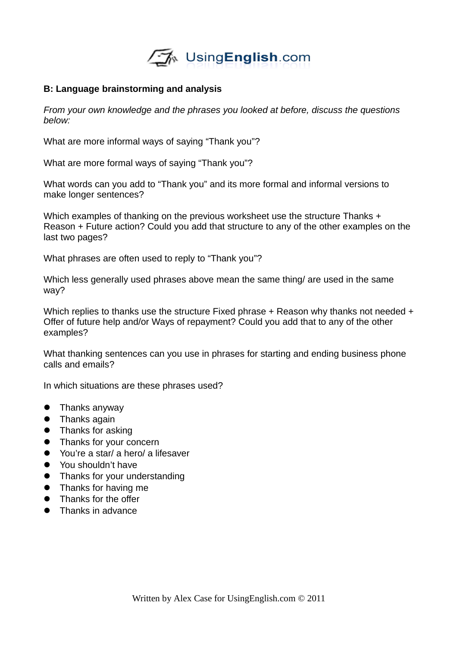

#### **B: Language brainstorming and analysis**

*From your own knowledge and the phrases you looked at before, discuss the questions below:*

What are more informal ways of saying "Thank you"?

What are more formal ways of saying "Thank you"?

What words can you add to "Thank you" and its more formal and informal versions to make longer sentences?

Which examples of thanking on the previous worksheet use the structure Thanks + Reason + Future action? Could you add that structure to any of the other examples on the last two pages?

What phrases are often used to reply to "Thank you"?

Which less generally used phrases above mean the same thing/ are used in the same way?

Which replies to thanks use the structure Fixed phrase + Reason why thanks not needed + Offer of future help and/or Ways of repayment? Could you add that to any of the other examples?

What thanking sentences can you use in phrases for starting and ending business phone calls and emails?

In which situations are these phrases used?

- **•** Thanks anyway
- **•** Thanks again
- Thanks for asking
- Thanks for your concern
- You're a star/ a hero/ a lifesaver
- You shouldn't have
- Thanks for your understanding
- Thanks for having me
- Thanks for the offer
- Thanks in advance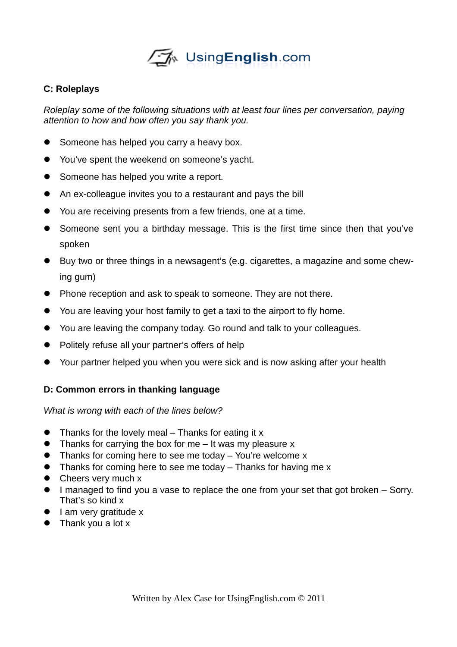

### **C: Roleplays**

*Roleplay some of the following situations with at least four lines per conversation, paying attention to how and how often you say thank you.*

- **Someone has helped you carry a heavy box.**
- You've spent the weekend on someone's yacht.
- Someone has helped you write a report.
- An ex-colleague invites you to a restaurant and pays the bill
- You are receiving presents from a few friends, one at a time.
- Someone sent you a birthday message. This is the first time since then that you've spoken
- Buy two or three things in a newsagent's (e.g. cigarettes, a magazine and some chewing gum)
- Phone reception and ask to speak to someone. They are not there.
- You are leaving your host family to get a taxi to the airport to fly home.
- You are leaving the company today. Go round and talk to your colleagues.
- Politely refuse all your partner's offers of help
- Your partner helped you when you were sick and is now asking after your health

## **D: Common errors in thanking language**

*What is wrong with each of the lines below?*

- $\bullet$  Thanks for the lovely meal Thanks for eating it x
- Thanks for carrying the box for me It was my pleasure x
- Thanks for coming here to see me today You're welcome x
- Thanks for coming here to see me today Thanks for having me x
- Cheers very much x
- I managed to find you a vase to replace the one from your set that got broken Sorry. That's so kind x
- $\bullet$  I am very gratitude x
- Thank you a lot x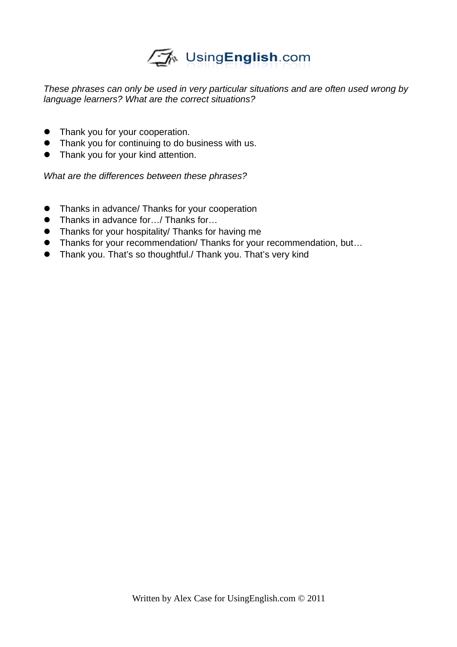## UsingEnglish.com

*These phrases can only be used in very particular situations and are often used wrong by language learners? What are the correct situations?*

- Thank you for your cooperation.
- **•** Thank you for continuing to do business with us.
- Thank you for your kind attention.

*What are the differences between these phrases?*

- **•** Thanks in advance/ Thanks for your cooperation
- Thanks in advance for.../ Thanks for...
- Thanks for your hospitality/ Thanks for having me
- Thanks for your recommendation/ Thanks for your recommendation, but...
- Thank you. That's so thoughtful./ Thank you. That's very kind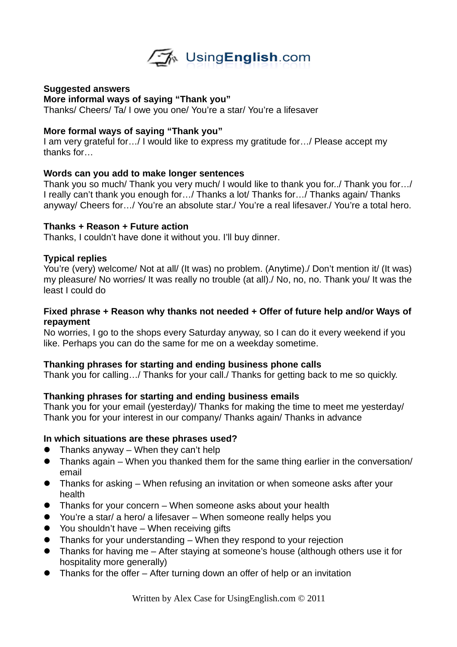

#### **Suggested answers**

**More informal ways of saying "Thank you"**

Thanks/ Cheers/ Ta/ I owe you one/ You're a star/ You're a lifesaver

#### **More formal ways of saying "Thank you"**

I am very grateful for…/ I would like to express my gratitude for…/ Please accept my thanks for…

#### **Words can you add to make longer sentences**

Thank you so much/ Thank you very much/ I would like to thank you for../ Thank you for…/ I really can't thank you enough for…/ Thanks a lot/ Thanks for…/ Thanks again/ Thanks anyway/ Cheers for…/ You're an absolute star./ You're a real lifesaver./ You're a total hero.

#### **Thanks + Reason + Future action**

Thanks, I couldn't have done it without you. I'll buy dinner.

#### **Typical replies**

You're (very) welcome/ Not at all/ (It was) no problem. (Anytime)./ Don't mention it/ (It was) my pleasure/ No worries/ It was really no trouble (at all)./ No, no, no. Thank you/ It was the least I could do

#### **Fixed phrase + Reason why thanks not needed + Offer of future help and/or Ways of repayment**

No worries, I go to the shops every Saturday anyway, so I can do it every weekend if you like. Perhaps you can do the same for me on a weekday sometime.

#### **Thanking phrases for starting and ending business phone calls**

Thank you for calling…/ Thanks for your call./ Thanks for getting back to me so quickly.

#### **Thanking phrases for starting and ending business emails**

Thank you for your email (yesterday)/ Thanks for making the time to meet me yesterday/ Thank you for your interest in our company/ Thanks again/ Thanks in advance

#### **In which situations are these phrases used?**

- $\bullet$  Thanks anyway When they can't help
- Thanks again When you thanked them for the same thing earlier in the conversation/ email
- Thanks for asking When refusing an invitation or when someone asks after your health
- Thanks for your concern When someone asks about your health
- You're a star/ a hero/ a lifesaver When someone really helps you
- You shouldn't have When receiving gifts
- Thanks for your understanding When they respond to your rejection
- Thanks for having me After staying at someone's house (although others use it for hospitality more generally)
- Thanks for the offer After turning down an offer of help or an invitation